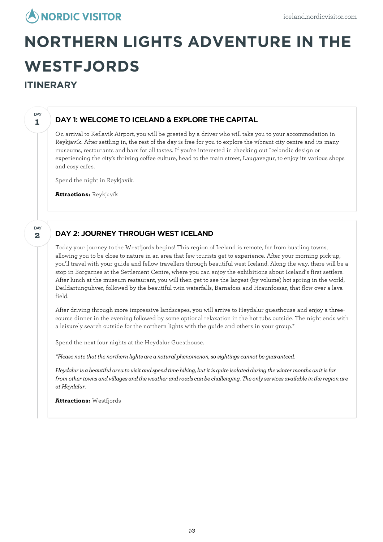

# **NORTHERN LIGHTS ADVENTURE IN THE WESTFJORDS**

## **ITINERARY**

**1**

DAY

**2**

**DAY** 

#### DAY 1: WELCOME TO ICELAND & EXPLORE THE CAPITAL

On arrival to Keflavik Airport, you will be greeted by a driver who will take you to your accommodation in Reykjavík. After settling in, the rest of the day is free for you to explore the vibrant city centre and its many museums, restaurants and bars for all tastes. If you're interested in checking out Icelandic design or experiencing the city's thriving coffee culture, head to the main street, Laugavegur, to enjoy its various shops and cosy cafes.

Spend the night in Reykjavík.

**Attractions:** Reykjavík

## DAY 2: JOURNEY THROUGH WEST ICELAND

Today your journey to the Westfjords begins! This region of Iceland is remote, far from bustling towns, allowing you to be close to nature in an area that few tourists get to experience. After your morning pick-up, you'll travel with your guide and fellow travellers through beautiful west Iceland. Along the way, there will be a stop in Borgarnes at the Settlement Centre, where you can enjoy the exhibitions about Iceland's first settlers. After lunch at the museum restaurant, you will then get to see the largest (by volume) hot spring in the world, Deildartunguhver, followed by the beautiful twin waterfalls, Barnafoss and Hraunfossar, that flow over a lava field.

After driving through more impressive landscapes, you will arrive to Heydalur guesthouse and enjoy a threecourse dinner in the evening followed by some optional relaxation in the hot tubs outside. The night ends with a leisurely search outside for the northern lights with the guide and others in your group.\*

Spend the next four nights at the Heydalur Guesthouse.

*\*Please notethat the northern lights are a natural phenomenon,so sightingscannot be guaranteed.*

Heydalur is a beautiful area to visit and spend time hiking, but it is quite isolated during the winter months as it is far *fromother towns andvillages andtheweather androadscan bechallenging. The onlyservices availablein theregion are atHeydalur.*

**Attractions:** Westfjords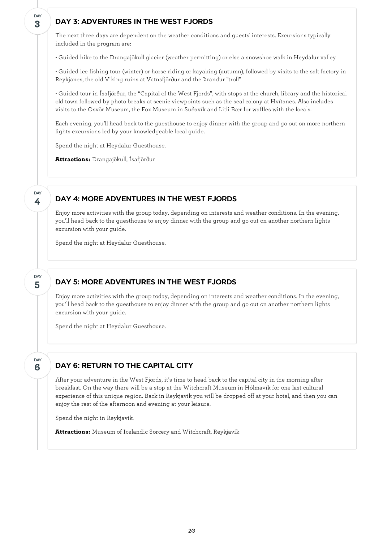#### DAY 3: ADVENTURES IN THE WEST FJORDS

The next three days are dependent on the weather conditions and guests' interests. Excursions typically included in the program are:

• Guided hike to the Drangajökull glacier (weather permitting) or else a snowshoe walk in Heydalur valley

• Guided ice fishing tour (winter) or horse riding or kayaking (autumn), followed by visits to the salt factory in Reykjanes, the old Viking ruins at Vatnsfjörður and the Þrandur "troll"

• Guided tour in Ísafjörður, the "Capital of the West Fjords", with stops at the church, library and the historical old town followed by photo breaks at scenic viewpoints such as the seal colony at Hvítanes. Also includes visits to the Osvör Museum, the Fox Museum in Suðavík and Litli Bær for waffles with the locals.

Each evening, you'll head back to the guesthouse to enjoy dinner with the group and go out on more northern lights excursions led by your knowledgeable local guide.

Spend the night at Heydalur Guesthouse.

**Attractions:** Drangajökull, Ísafjörður

#### **4** DAY

**5**

DAY

**6**

DAY

**3**

**DAY** 

#### DAY 4: MORE ADVENTURES IN THE WEST FJORDS

Enjoy more activities with the group today, depending on interests and weather conditions. In the evening, you'll head back to the guesthouse to enjoy dinner with the group and go out on another northern lights excursion with your guide.

Spend the night at Heydalur Guesthouse.

#### DAY 5: MORE ADVENTURES IN THE WEST FJORDS

Enjoy more activities with the group today, depending on interests and weather conditions. In the evening, you'll head back to the guesthouse to enjoy dinner with the group and go out on another northern lights excursion with your guide.

Spend the night at Heydalur Guesthouse.

## DAY 6: RETURN TO THE CAPITAL CITY

After your adventure in the West Fjords, it's time to head back to the capital city in the morning after breakfast. On the way there will be a stop at the Witchcraft Museum in Hólmavík for one last cultural experience of this unique region. Back in Reykjavik you will be dropped off at your hotel, and then you can enjoy the rest of the afternoon and evening at your leisure.

Spend the night in Reykjavik.

**Attractions:** Museum of Icelandic Sorcery and Witchcraft, Reykjavík